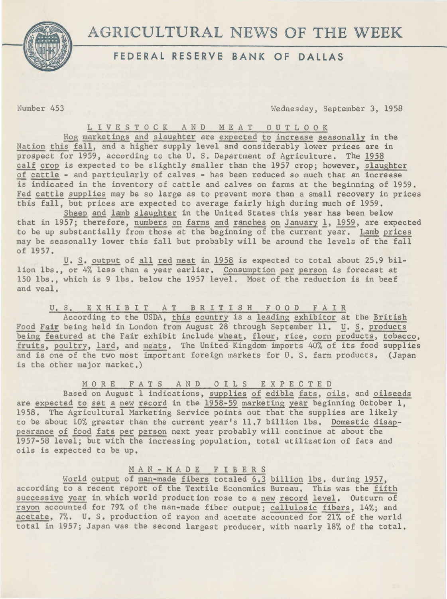

## **FEDERAL RESERVE BANK OF DALLAS**

umber 453 Wednesday, September 3, 1958

LIVE STOCK AND MEAT OUTLOOK

Hog marketings and slaughter are expected to increase seasonally in the Nation this fall, and a higher supply level and considerably lower prices are in prospect for 1959, according to the U.S. Department of Agriculture. The 1958 calf crop is expected to be slightly smaller than the 1957 crop; however, slaughter of cattle - and particularly of calves - has been reduced so much that an increase is indicated in the inventory of cattle and calves on farms at the beginning of 1959. Fed cattle supplies may be so large as to prevent more than a small recovery in prices this fall, but prices are expected to average fairly high during much of 1959.

Sheep and lamb slaughter in the United States this year has been below that in 1957; therefore, numbers on farms and ranches on January 1, 1959, are expected to be up substantially from those at the beginning of the current year. Lamb prices may be seasonally lower this fall but probably will be around the levels of the fall of 1957.

*U. S. output of all red meat in 1958 is expected to total about 25.9 bil*lion lbs., or 4% less than a year earlier. Consumption per person is forecast at 150 lbs., which is 9 lbs. below the 1957 level. Most of the reduction is in beef and veal.

U.S. EXHIBIT AT BRITISH FOOD FAIR

According to the USDA, this country is a leading exhibitor at the British Food Fair being held in London from August 28 through September 11. *U. S. products* being featured at the Fair exhibit include wheat, flour, rice, corn products, tobacco, fruits, poultry, lard, and meats. The United Kingdom imports 40% of its food supplies and is one of the two most important foreign markets for U. s. farm products, (Japan is the other major market.)

M 0 RE F A T S AND 0 I L S E X P E C T E D

Based on August 1 indications, supplies of edible fats, oils, and oilseeds are expected to set a new record in the 1958-59 marketing year beginning October 1, 1958. The Agricultural Marketing Service points out that the supplies are likely to be about 10% greater than the current year's 11.7 billion lbs. Domestic disappearance of food fats per person next year probably will continue at about the 1957-58 level; but with the increasing population, total utilization of fats and oils is expected to be up.

MAN-MADE FIBERS

World output of man-made fibers totaled 6.3 billion lbs. during 1957, according to a recent report of the Textile Economics Bureau, This was the fifth successive year in which world production rose to a new record level. Outturn of rayon accounted for 79% of the man-made fiber output; cellulosic fibers, 14%; and acetate, 7%. U. s. production of rayon and acetate accounted for 21% of the world total in 1957; Japan was the second largest producer, with nearly 18% of the total.